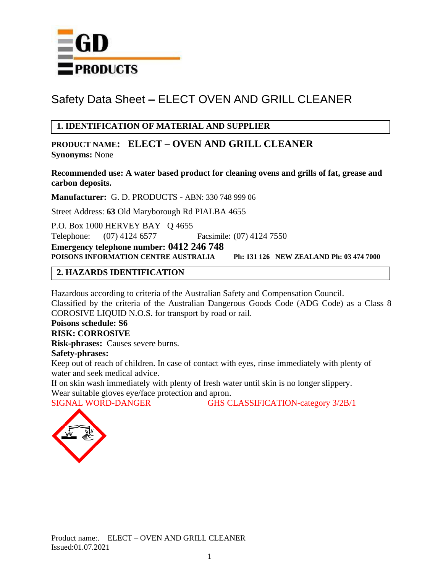

# **1. IDENTIFICATION OF MATERIAL AND SUPPLIER**

**PRODUCT NAME: ELECT – OVEN AND GRILL CLEANER Synonyms:** None

**Recommended use: A water based product for cleaning ovens and grills of fat, grease and carbon deposits.**

**Manufacturer:** G. D. PRODUCTS - ABN: 330 748 999 06

Street Address: **63** Old Maryborough Rd PIALBA 4655

P.O. Box 1000 HERVEY BAY Q 4655 Telephone: (07) 4124 6577 Facsimile: (07) 4124 7550

**Emergency telephone number: 0412 246 748** 

**POISONS INFORMATION CENTRE AUSTRALIA Ph: 131 126 NEW ZEALAND Ph: 03 474 7000**

#### **2. HAZARDS IDENTIFICATION**

Hazardous according to criteria of the Australian Safety and Compensation Council. Classified by the criteria of the Australian Dangerous Goods Code (ADG Code) as a Class 8 COROSIVE LIQUID N.O.S. for transport by road or rail.

# **Poisons schedule: S6**

## **RISK: CORROSIVE**

**Risk-phrases:** Causes severe burns. **Safety-phrases:** 

Keep out of reach of children. In case of contact with eyes, rinse immediately with plenty of water and seek medical advice.

If on skin wash immediately with plenty of fresh water until skin is no longer slippery.

Wear suitable gloves eye/face protection and apron.

SIGNAL WORD-DANGER GHS CLASSIFICATION-category 3/2B/1

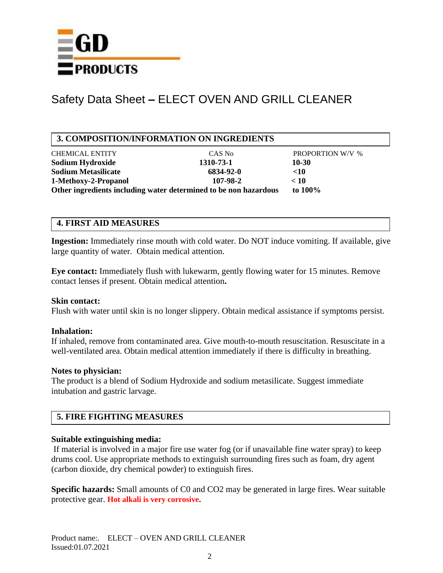

## **3. COMPOSITION/INFORMATION ON INGREDIENTS**

| <b>CHEMICAL ENTITY</b>                                           | CAS No    | <b>PROPORTION W/V %</b> |  |
|------------------------------------------------------------------|-----------|-------------------------|--|
| Sodium Hydroxide                                                 | 1310-73-1 | 10-30                   |  |
| <b>Sodium Metasilicate</b>                                       | 6834-92-0 | $\leq 10$               |  |
| 1-Methoxy-2-Propanol                                             | 107-98-2  | < 10                    |  |
| Other ingredients including water determined to be non hazardous |           | to $100\%$              |  |

#### **4. FIRST AID MEASURES**

**Ingestion:** Immediately rinse mouth with cold water. Do NOT induce vomiting. If available, give large quantity of water. Obtain medical attention.

**Eye contact:** Immediately flush with lukewarm, gently flowing water for 15 minutes. Remove contact lenses if present. Obtain medical attention**.**

#### **Skin contact:**

Flush with water until skin is no longer slippery. Obtain medical assistance if symptoms persist.

#### **Inhalation:**

If inhaled, remove from contaminated area. Give mouth-to-mouth resuscitation. Resuscitate in a well-ventilated area. Obtain medical attention immediately if there is difficulty in breathing.

#### **Notes to physician:**

The product is a blend of Sodium Hydroxide and sodium metasilicate. Suggest immediate intubation and gastric larvage.

## **5. FIRE FIGHTING MEASURES**

#### **Suitable extinguishing media:**

If material is involved in a major fire use water fog (or if unavailable fine water spray) to keep drums cool. Use appropriate methods to extinguish surrounding fires such as foam, dry agent (carbon dioxide, dry chemical powder) to extinguish fires.

**Specific hazards:** Small amounts of C0 and CO2 may be generated in large fires. Wear suitable protective gear. **Hot alkali is very corrosive.**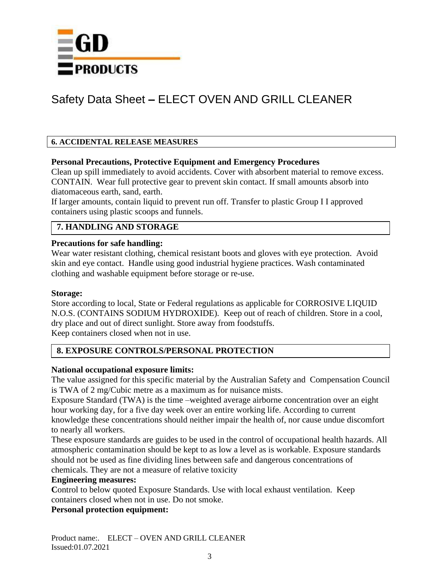

#### **6. ACCIDENTAL RELEASE MEASURES**

#### **Personal Precautions, Protective Equipment and Emergency Procedures**

Clean up spill immediately to avoid accidents. Cover with absorbent material to remove excess. CONTAIN. Wear full protective gear to prevent skin contact. If small amounts absorb into diatomaceous earth, sand, earth.

If larger amounts, contain liquid to prevent run off. Transfer to plastic Group I I approved containers using plastic scoops and funnels.

# **7. HANDLING AND STORAGE**

#### **Precautions for safe handling:**

Wear water resistant clothing, chemical resistant boots and gloves with eye protection. Avoid skin and eye contact. Handle using good industrial hygiene practices. Wash contaminated clothing and washable equipment before storage or re-use.

#### **Storage:**

Store according to local, State or Federal regulations as applicable for CORROSIVE LIQUID N.O.S. (CONTAINS SODIUM HYDROXIDE). Keep out of reach of children. Store in a cool, dry place and out of direct sunlight. Store away from foodstuffs. Keep containers closed when not in use.

**8. EXPOSURE CONTROLS/PERSONAL PROTECTION**

#### **National occupational exposure limits:**

The value assigned for this specific material by the Australian Safety and Compensation Council is TWA of 2 mg/Cubic metre as a maximum as for nuisance mists.

Exposure Standard (TWA) is the time –weighted average airborne concentration over an eight hour working day, for a five day week over an entire working life. According to current knowledge these concentrations should neither impair the health of, nor cause undue discomfort to nearly all workers.

These exposure standards are guides to be used in the control of occupational health hazards. All atmospheric contamination should be kept to as low a level as is workable. Exposure standards should not be used as fine dividing lines between safe and dangerous concentrations of chemicals. They are not a measure of relative toxicity

#### **Engineering measures:**

Control to below quoted Exposure Standards. Use with local exhaust ventilation. Keep containers closed when not in use. Do not smoke.

#### **Personal protection equipment:**

Product name:. ELECT – OVEN AND GRILL CLEANER Issued:01.07.2021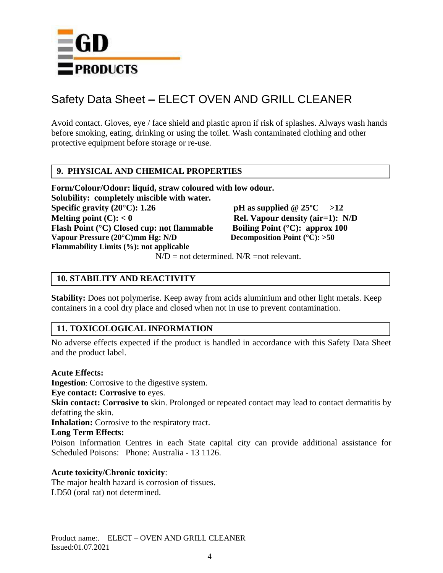

Avoid contact. Gloves, eye / face shield and plastic apron if risk of splashes. Always wash hands before smoking, eating, drinking or using the toilet. Wash contaminated clothing and other protective equipment before storage or re-use.

#### **9. PHYSICAL AND CHEMICAL PROPERTIES**

**Form/Colour/Odour: liquid, straw coloured with low odour. Solubility: completely miscible with water. Specific gravity (20°C):** 1.26 **pH** as supplied  $@ 25$ °C >12 **Melting point (C):**  $< 0$  **Rel. Vapour density (air=1):** N/D **Flash Point (°C) Closed cup: not flammable Boiling Point (°C): approx 100 Vapour Pressure (20°C)mm Hg: N/D Decomposition Point (°C): >50 Flammability Limits (%): not applicable**

 $N/D$  = not determined.  $N/R$  =not relevant.

## **10. STABILITY AND REACTIVITY**

**Stability:** Does not polymerise. Keep away from acids aluminium and other light metals. Keep containers in a cool dry place and closed when not in use to prevent contamination.

## **11. TOXICOLOGICAL INFORMATION**

No adverse effects expected if the product is handled in accordance with this Safety Data Sheet and the product label.

#### **Acute Effects:**

**Ingestion**: Corrosive to the digestive system.

**Eye contact: Corrosive to** eyes.

**Skin contact: Corrosive to** skin. Prolonged or repeated contact may lead to contact dermatitis by defatting the skin.

**Inhalation:** Corrosive to the respiratory tract.

#### **Long Term Effects:**

Poison Information Centres in each State capital city can provide additional assistance for Scheduled Poisons: Phone: Australia - 13 1126.

#### **Acute toxicity/Chronic toxicity**:

The major health hazard is corrosion of tissues. LD50 (oral rat) not determined.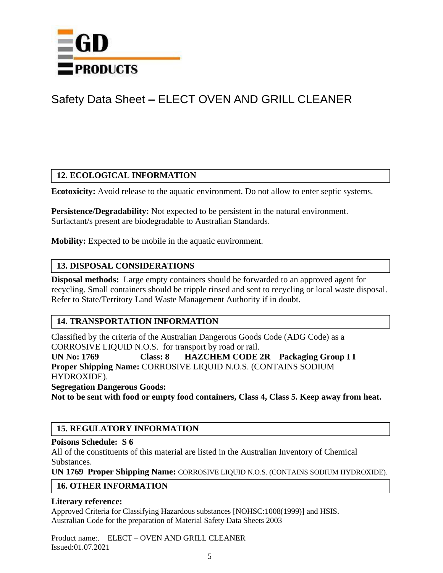

# **12. ECOLOGICAL INFORMATION**

**Ecotoxicity:** Avoid release to the aquatic environment. Do not allow to enter septic systems.

**Persistence/Degradability:** Not expected to be persistent in the natural environment. Surfactant/s present are biodegradable to Australian Standards.

**Mobility:** Expected to be mobile in the aquatic environment.

# **13. DISPOSAL CONSIDERATIONS**

**Disposal methods:** Large empty containers should be forwarded to an approved agent for recycling. Small containers should be tripple rinsed and sent to recycling or local waste disposal. Refer to State/Territory Land Waste Management Authority if in doubt.

# **14. TRANSPORTATION INFORMATION**

Classified by the criteria of the Australian Dangerous Goods Code (ADG Code) as a CORROSIVE LIQUID N.O.S. for transport by road or rail.

**UN No: 1769 Class: 8 HAZCHEM CODE 2R Packaging Group I I Proper Shipping Name:** CORROSIVE LIQUID N.O.S. (CONTAINS SODIUM HYDROXIDE).

**Segregation Dangerous Goods:**

**Not to be sent with food or empty food containers, Class 4, Class 5. Keep away from heat.** 

## **15. REGULATORY INFORMATION**

#### **Poisons Schedule: S 6**

All of the constituents of this material are listed in the Australian Inventory of Chemical Substances.

**UN 1769 Proper Shipping Name:** CORROSIVE LIQUID N.O.S. (CONTAINS SODIUM HYDROXIDE).

## **16. OTHER INFORMATION**

#### **Literary reference:**

Approved Criteria for Classifying Hazardous substances [NOHSC:1008(1999)] and HSIS. Australian Code for the preparation of Material Safety Data Sheets 2003

Product name:. ELECT – OVEN AND GRILL CLEANER Issued:01.07.2021